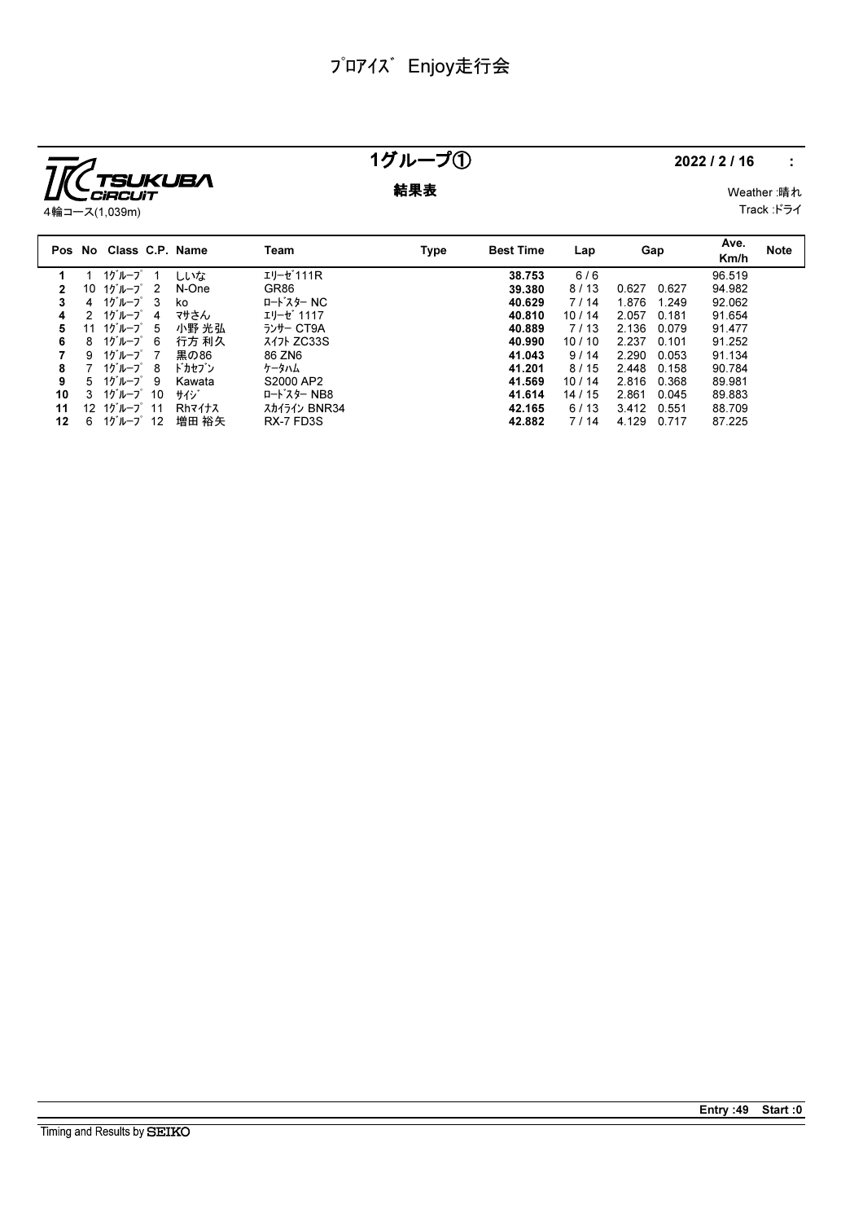

### 1グループ① 2022/2/16 :

 9 1グループ 7 黒の86 86 ZN6 41.043 9 / 14 2.290 0.053 91.134 7 1グループ 8 ドカセブン ケータハム 41.201 8 / 15 2.448 0.158 90.784 5 1グループ 9 Kawata S2000 AP2 41.569 10 / 14 2.816 0.368 89.981 3 1グループ 10 サイジ ロードスター NB8 41.614 14 / 15 2.861 0.045 89.883 11 12 1グループ 11 Rhマイナス スカイライン BNR34 42.165 6 / 13 3.412 0.551 88.709 12 6 1グルーープ 12 増田 裕矢 RX-7 FD3S 42.882 7 / 14 4.129 0.717 87.225

**結果表** Weather :晴れ Track :ドライ

|              |   | 4輪コース(1,039m)          |                                            |                        |      |                  |       |                |              | Track :ドラ   |
|--------------|---|------------------------|--------------------------------------------|------------------------|------|------------------|-------|----------------|--------------|-------------|
|              |   | Pos No Class C.P. Name |                                            | Team                   | Type | <b>Best Time</b> | Lap   | Gap            | Ave.<br>Km/h | <b>Note</b> |
|              |   | 1グループ 1                | しいな                                        | エリーセ <sup>*</sup> 111R |      | 38.753           | 6/6   |                | 96.519       |             |
| $\mathbf{2}$ |   |                        | 10 $10^{\circ}$ $\mu$ $-7^{\circ}$ 2 N-One | GR86                   |      | 39.380           | 8/13  | 0.627<br>0.627 | 94.982       |             |
|              |   | 4 1ゲループ 3 ko           |                                            | ロードスター NC              |      | 40.629           | 7/14  | 1.876<br>1.249 | 92.062       |             |
| 4            |   | 2 1グループ 4              | マサさん                                       | エリーセ゛1117              |      | 40.810           | 10/14 | 2.057<br>0.181 | 91.654       |             |
| 5.           |   |                        | 11 1グループ5 小野光弘                             | ランサー CT9A              |      | 40.889           | 7/13  | 2.136<br>0.079 | 91.477       |             |
| 6            | 8 | 1グループ 6                | 行方 利久                                      | <i>ス</i> イ가 ZC33S      |      | 40.990           | 10/10 | 2.237<br>0.101 | 91.252       |             |

Entry :49 Start :0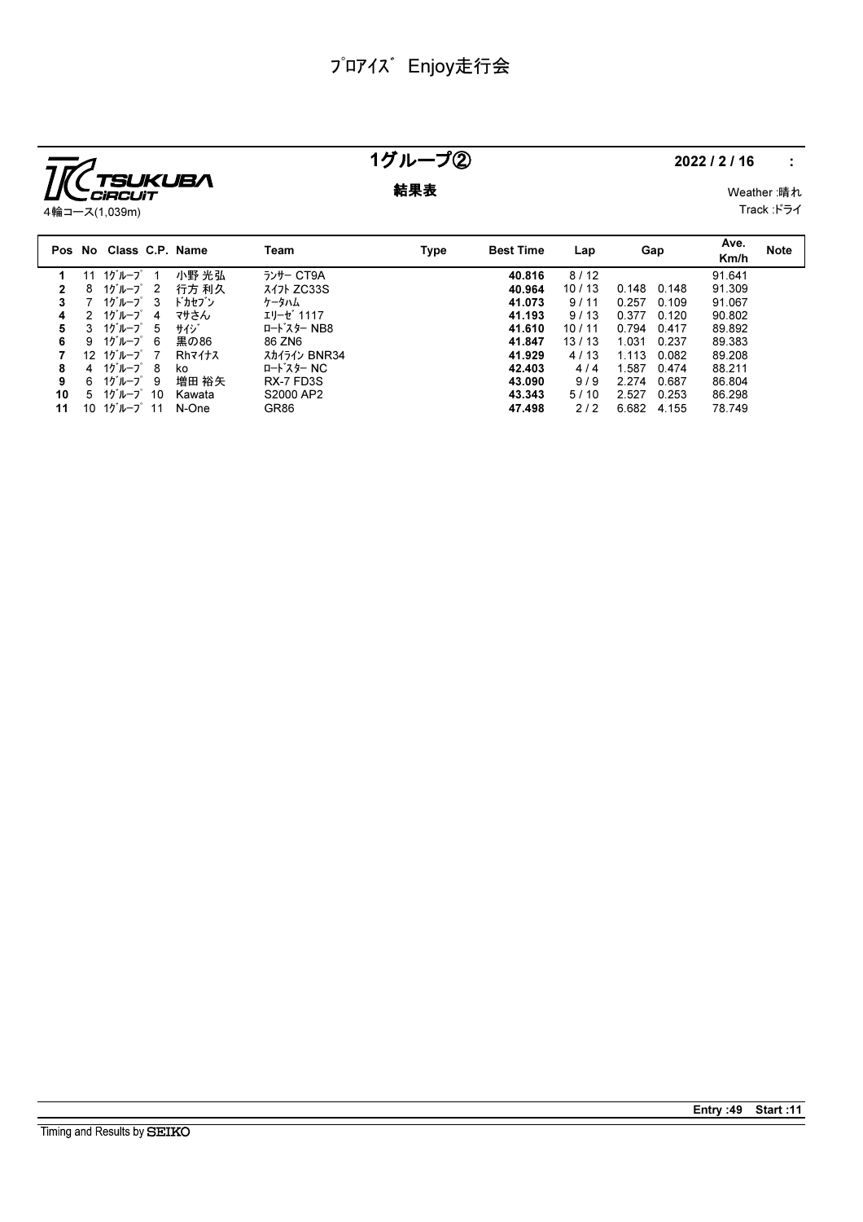

## 1グループ② 2022/2/16 :

**結果表** Weather :晴れ Track :ドライ

4輪コース(1,039m)

|    |    | Pos No Class C.P. Name              |        | Team         | Type | <b>Best Time</b> | Lap   | Gap            | Ave.<br>Km/h | <b>Note</b> |
|----|----|-------------------------------------|--------|--------------|------|------------------|-------|----------------|--------------|-------------|
|    | 11 | 1グループ                               | 小野 光弘  | ランサー CT9A    |      | 40.816           | 8/12  |                | 91.641       |             |
| 2  | 8  | 1グループ 2                             | 行方 利久  | $717$ ZC33S  |      | 40.964           | 10/13 | 0.148<br>0.148 | 91.309       |             |
| 3  |    | $10^{\circ}$ $\mu$ $-7^{\circ}$ 3   | ドカセブン  | ケータハム        |      | 41.073           | 9/11  | 0.257<br>0.109 | 91.067       |             |
| 4  | 2  | 1グループ<br>4                          | マサさん   | エリーゼ 1117    |      | 41.193           | 9/13  | 0.377<br>0.120 | 90.802       |             |
| 5  |    | 3 $10^{\circ}$ $\mu$ $-7^{\circ}$ 5 | サイジ    | ロート・スター NB8  |      | 41.610           | 10/11 | 0.794<br>0.417 | 89.892       |             |
| 6  | 9  | 1グループ 6                             | 黒の86   | 86 ZN6       |      | 41.847           | 13/13 | 1.031<br>0.237 | 89.383       |             |
|    |    | $12 \t10^{11} - 7^{2}$ 7            | Rhマイナス | スカイライン BNR34 |      | 41.929           | 4/13  | 1.113<br>0.082 | 89.208       |             |
| 8  |    | 4 $10^{\circ}$ $\mu$ $-7^{\circ}$ 8 | ko     | ロードスター NC    |      | 42.403           | 4/4   | 1.587<br>0.474 | 88.211       |             |
| 9  |    | 6 1グループ9                            | 増田 裕矢  | RX-7 FD3S    |      | 43.090           | 9/9   | 2.274<br>0.687 | 86.804       |             |
| 10 | 5  | 1グループ 10                            | Kawata | S2000 AP2    |      | 43.343           | 5/10  | 2.527<br>0.253 | 86.298       |             |
| 11 | 10 | 1グループ 11                            | N-One  | GR86         |      | 47.498           | 2/2   | 6.682<br>4.155 | 78.749       |             |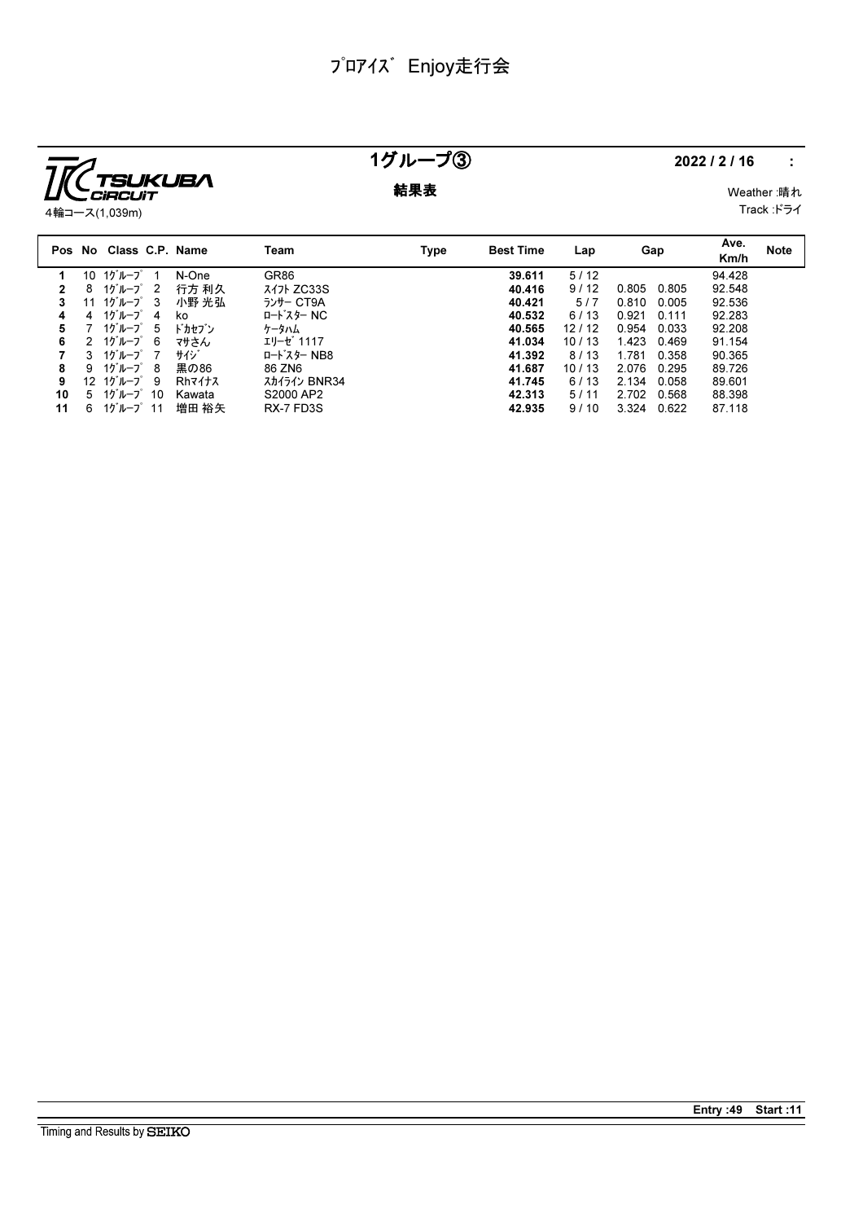

### 1グループ③ 2022/2/16 :

**結果表** Weather :晴れ

Track :ドライ

|    |               | Pos No Class C.P. Name               |        | Team         | <b>Type</b> | <b>Best Time</b> | Lap   | Gap            | Ave.<br>Km/h | <b>Note</b> |
|----|---------------|--------------------------------------|--------|--------------|-------------|------------------|-------|----------------|--------------|-------------|
|    | 10            | 1グルーブ                                | N-One  | GR86         |             | 39.611           | 5/12  |                | 94.428       |             |
|    | 8             | $10^{\circ}$ I $-7^{\circ}$ 2        | 行方 利久  | $717$ ZC33S  |             | 40.416           | 9/12  | 0.805<br>0.805 | 92.548       |             |
|    | 11            | $10^{\circ}$ $\nu$ - $7^{\circ}$ 3   | 小野 光弘  | ランサー CT9A    |             | 40.421           | 5/7   | 0.810<br>0.005 | 92.536       |             |
| 4  | 4             | 1グループ<br>4                           | ko     | ロードスター NC    |             | 40.532           | 6/13  | 0.921<br>0.111 | 92.283       |             |
| 5  |               | 1グループ<br>-5                          | ドカセブン  | ケータハム        |             | 40.565           | 12/12 | 0.954<br>0.033 | 92.208       |             |
| 6  | $\mathcal{P}$ | 1グループ 6                              | マサさん   | エリーゼ 1117    |             | 41.034           | 10/13 | 1.423<br>0.469 | 91.154       |             |
|    | 3             | 1グループ 7                              | サイジ    | ロードスター NB8   |             | 41.392           | 8/13  | 1.781<br>0.358 | 90.365       |             |
| 8  | 9             | 1ケループ 8                              | 黒の86   | 86 ZN6       |             | 41.687           | 10/13 | 2.076<br>0.295 | 89.726       |             |
| 9  |               | 12 $10^{\circ}$ $\mu$ $-7^{\circ}$ 9 | Rhマイナス | スカイライン BNR34 |             | 41.745           | 6/13  | 2.134<br>0.058 | 89.601       |             |
| 10 | 5             | 1グループ 10                             | Kawata | S2000 AP2    |             | 42.313           | 5/11  | 2.702<br>0.568 | 88.398       |             |
| 11 | 6             | $10^{\circ}$ I $-7^{\circ}$ 11       | 増田 裕矢  | RX-7 FD3S    |             | 42.935           | 9/10  | 3.324<br>0.622 | 87.118       |             |